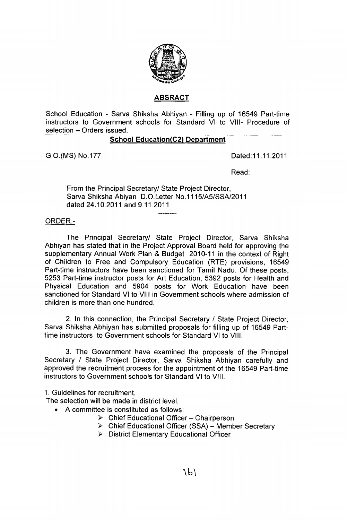

# **ABSRACT**

School Education - Sarva Shiksha Abhiyan - Filling up of 16549 Part-time instructors to Government schools for Standard VI to VIII- Procedure of selection - Orders issued.

## **School Education(C2) Department**

G.O.(MS) No.177 Dated:11.11.2011

Read:

From the Principal Secretary/ State Project Director, Sarva Shiksha Abiyan D.O.Letter No.1115/A5/SSA/2011 dated 24.10.2011 and 9.11.2011

## QRDER:-

The Principal Secretary/ State Project Director, Sarva Shiksha Abhiyan has stated that in the Project Approval Board held for approving the supplementary Annual Work Plan & Budget 2010-11 in the context of Right of Children to Free and Compulsory Education (RTE) provisions, 16549 Part-time instructors have been sanctioned for Tamil Nadu. Of these posts, 5253 Part-time instructor posts for Art Education, 5392 posts for Health and Physical Education and 5904 posts for Work Education have been sanctioned for Standard VI to VIII in Government schools where admission of children is more than one hundred.

2. In this connection, the Principal Secretary / State Project Director, Sarva Shiksha Abhiyan has submitted proposals for filling up of 16549 Parttime instructors to Government schools for Standard VI to VIII.

3. The Government have examined the proposals of the Principal Secretary / State Project Director, Sarva Shiksha Abhiyan carefully and approved the recruitment process for the appointment of the 16549 Part-time instructors to Government schools for Standard VI to VIII.

1. Guidelines for recruitment.

The selection will be made in district level.

- A committee is constituted as follows:
	- $\triangleright$  Chief Educational Officer Chairperson
	- > Chief Educational Officer (SSA) Member Secretary
	- > District Elementary Educational Officer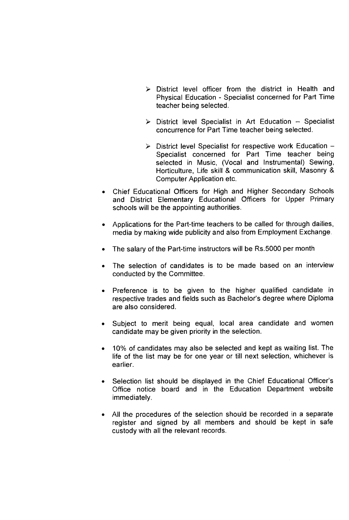- $\triangleright$  District level officer from the district in Health and Physical Education - Specialist concerned for Part Time teacher being selected.
- $\triangleright$  District level Specialist in Art Education Specialist concurrence for Part Time teacher being selected.
- $\triangleright$  District level Specialist for respective work Education -Specialist concerned for Part Time teacher being selected in Music, (Vocal and Instrumental) Sewing, Horticulture, Life skill & communication skill, Masonry & Computer Application etc.
- Chief Educational Officers for High and Higher Secondary Schools and District Elementary Educational Officers for Upper Primary schools will be the appointing authorities.
- Applications for the Part-time teachers to be called for through dailies, media by making wide publicity and also from Employment Exchange.
- The salary of the Part-time instructors will be Rs.5000 per month
- The selection of candidates is to be made based on an interview conducted by the Committee.
- Preference is to be given to the higher qualified candidate in respective trades and fields such as Bachelor's degree where Diploma are also considered.
- Subject to merit being equal, local area candidate and women candidate may be given priority in the selection.
- 10% of candidates may also be selected and kept as waiting list. The life of the list may be for one year or till next selection, whichever is earlier.
- Selection list should be displayed in the Chief Educational Officer's Office notice board and in the Education Department website immediately.
- All the procedures of the selection should be recorded in a separate register and signed by all members and should be kept in safe custody with all the relevant records.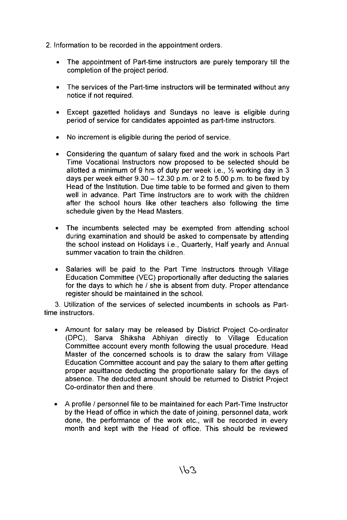2. Information to be recorded in the appointment orders.

- The appointment of Part-time instructors are purely temporary till the completion of the project period.
- The services of the Part-time instructors will be terminated without any notice if not required.
- Except gazetted holidays and Sundays no leave is eligible during period of service for candidates appointed as part-time instructors.
- No increment is eligible during the period of service.
- Considering the quantum of salary fixed and the work in schools Part Time Vocational Instructors now proposed to be selected should be allotted a minimum of 9 hrs of duty per week i.e.,  $\frac{1}{2}$  working day in 3 days per week either  $9.30 - 12.30$  p.m. or 2 to 5.00 p.m. to be fixed by Head of the Institution. Due time table to be formed and given to them well in advance. Part Time Instructors are to work with the children after the school hours like other teachers also following the time schedule given by the Head Masters.
- The incumbents selected may be exempted from attending school during examination and should be asked to compensate by attending the school instead on Holidays i.e., Quarterly, Half yearly and Annual summer vacation to train the children.
- Salaries will be paid to the Part Time Instructors through Village Education Committee (VEC) proportionally after deducting the salaries for the days to which he / she is absent from duty. Proper attendance register should be maintained in the school.

3. Utilization of the services of selected incumbents in schools as Parttime instructors.

- Amount for salary may be released by District Project Co-ordinator (DPC), Sarva Shiksha Abhiyan directly to Village Education Committee account every month following the usual procedure. Head Master of the concerned schools is to draw the salary from Village Education Committee account and pay the salary to them after getting proper aquittance deducting the proportionate salary for the days of absence. The deducted amount should be returned to District Project Co-ordinator then and there.
- A profile / personnel file to be maintained for each Part-Time Instructor by the Head of office in which the date of joining, personnel data, work done, the performance of the work etc., will be recorded in every month and kept with the Head of office. This should be reviewed